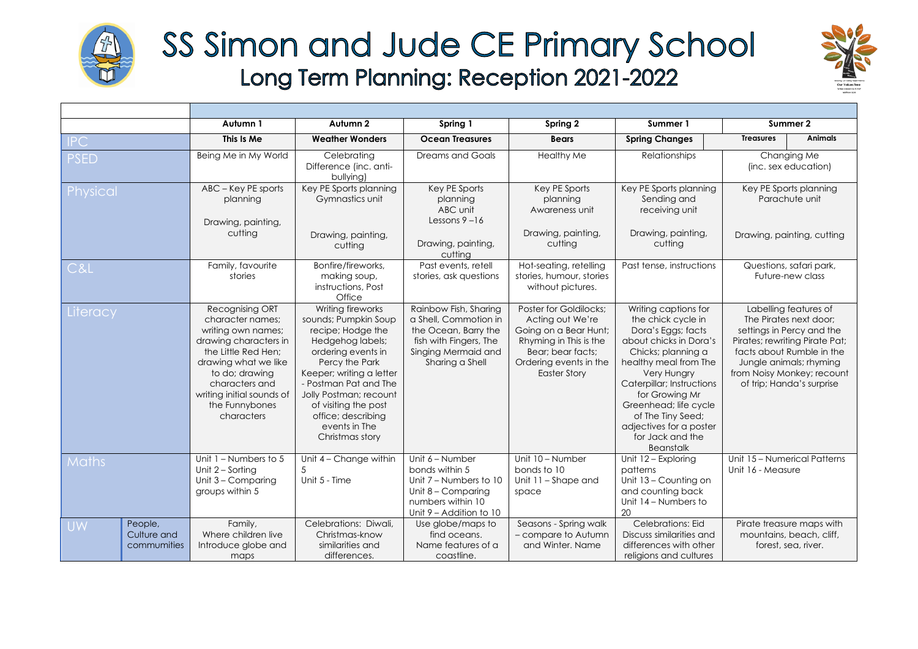

## SS Simon and Jude CE Primary School Long Term Planning: Reception 2021-2022



|                                                                                                                              |                                       | Autumn 1                                                                                                                                                                                                                           | Autumn 2                                                                                                                                                                                                                                                                                    | Spring 1                                                                                                                                   | Spring 2                                                                                                                                                            | Summer 1                                                                                                                                                                                                                                                                                                                 | Summer 2                                                                                                                                                                                                                          |
|------------------------------------------------------------------------------------------------------------------------------|---------------------------------------|------------------------------------------------------------------------------------------------------------------------------------------------------------------------------------------------------------------------------------|---------------------------------------------------------------------------------------------------------------------------------------------------------------------------------------------------------------------------------------------------------------------------------------------|--------------------------------------------------------------------------------------------------------------------------------------------|---------------------------------------------------------------------------------------------------------------------------------------------------------------------|--------------------------------------------------------------------------------------------------------------------------------------------------------------------------------------------------------------------------------------------------------------------------------------------------------------------------|-----------------------------------------------------------------------------------------------------------------------------------------------------------------------------------------------------------------------------------|
| $\overline{\phantom{a}}$ $\overline{\phantom{a}}$ $\overline{\phantom{a}}$ $\overline{\phantom{a}}$ $\overline{\phantom{a}}$ |                                       | This Is Me                                                                                                                                                                                                                         | <b>Weather Wonders</b>                                                                                                                                                                                                                                                                      | <b>Ocean Treasures</b>                                                                                                                     | <b>Bears</b>                                                                                                                                                        | <b>Spring Changes</b>                                                                                                                                                                                                                                                                                                    | <b>Animals</b><br><b>Treasures</b>                                                                                                                                                                                                |
| <b>PSED</b>                                                                                                                  |                                       | Being Me in My World                                                                                                                                                                                                               | Celebrating<br>Difference (inc. anti-<br>bullying)                                                                                                                                                                                                                                          | <b>Dreams and Goals</b>                                                                                                                    | <b>Healthy Me</b>                                                                                                                                                   | <b>Relationships</b>                                                                                                                                                                                                                                                                                                     | Changing Me<br>(inc. sex education)                                                                                                                                                                                               |
| Physical                                                                                                                     |                                       | ABC - Key PE sports<br>planning<br>Drawing, painting,                                                                                                                                                                              | Key PE Sports planning<br>Gymnastics unit                                                                                                                                                                                                                                                   | Key PE Sports<br>planning<br>ABC unit<br>Lessons $9 - 16$                                                                                  | Key PE Sports<br>planning<br>Awareness unit                                                                                                                         | Key PE Sports planning<br>Sending and<br>receiving unit                                                                                                                                                                                                                                                                  | Key PE Sports planning<br>Parachute unit                                                                                                                                                                                          |
|                                                                                                                              |                                       | cutting                                                                                                                                                                                                                            | Drawing, painting,<br>cutting                                                                                                                                                                                                                                                               | Drawing, painting,<br>cutting                                                                                                              | Drawing, painting,<br>cutting                                                                                                                                       | Drawing, painting,<br>cutting                                                                                                                                                                                                                                                                                            | Drawing, painting, cutting                                                                                                                                                                                                        |
| C&L                                                                                                                          |                                       | Family, favourite<br>stories                                                                                                                                                                                                       | Bonfire/fireworks,<br>making soup,<br>instructions, Post<br>Office                                                                                                                                                                                                                          | Past events, retell<br>stories, ask questions                                                                                              | Hot-seating, retelling<br>stories, humour, stories<br>without pictures.                                                                                             | Past tense, instructions                                                                                                                                                                                                                                                                                                 | Questions, safari park,<br>Future-new class                                                                                                                                                                                       |
| Literacy                                                                                                                     |                                       | Recognising ORT<br>character names;<br>writing own names;<br>drawing characters in<br>the Little Red Hen:<br>drawing what we like<br>to do; drawing<br>characters and<br>writing initial sounds of<br>the Funnybones<br>characters | Writing fireworks<br>sounds; Pumpkin Soup<br>recipe; Hodge the<br>Hedgehog labels;<br>ordering events in<br>Percy the Park<br>Keeper; writing a letter<br>- Postman Pat and The<br>Jolly Postman; recount<br>of visiting the post<br>office; describing<br>events in The<br>Christmas story | Rainbow Fish, Sharing<br>a Shell, Commotion in<br>the Ocean, Barry the<br>fish with Fingers, The<br>Singing Mermaid and<br>Sharing a Shell | Poster for Goldilocks;<br>Acting out We're<br>Going on a Bear Hunt;<br>Rhyming in This is the<br>Bear: bear facts:<br>Ordering events in the<br><b>Easter Story</b> | Writing captions for<br>the chick cycle in<br>Dora's Eggs; facts<br>about chicks in Dora's<br>Chicks; planning a<br>healthy meal from The<br>Very Hungry<br>Caterpillar; Instructions<br>for Growing Mr<br>Greenhead; life cycle<br>of The Tiny Seed;<br>adjectives for a poster<br>for Jack and the<br><b>Beanstalk</b> | Labelling features of<br>The Pirates next door;<br>settings in Percy and the<br>Pirates; rewriting Pirate Pat;<br>facts about Rumble in the<br>Jungle animals; rhyming<br>from Noisy Monkey; recount<br>of trip; Handa's surprise |
| <b>Maths</b>                                                                                                                 |                                       | Unit $1 -$ Numbers to 5<br>Unit 2 - Sorting<br>Unit $3 -$ Comparing<br>groups within 5                                                                                                                                             | Unit 4 - Change within<br>Unit 5 - Time                                                                                                                                                                                                                                                     | Unit 6 - Number<br>bonds within 5<br>Unit $7 -$ Numbers to 10<br>Unit 8 - Comparing<br>numbers within 10<br>Unit 9 - Addition to 10        | Unit $10 -$ Number<br>bonds to 10<br>Unit 11 – Shape and<br>space                                                                                                   | Unit 12 - Exploring<br>patterns<br>Unit 13 - Counting on<br>and counting back<br>Unit 14 - Numbers to<br>20                                                                                                                                                                                                              | Unit 15 - Numerical Patterns<br>Unit 16 - Measure                                                                                                                                                                                 |
| <b>UW</b>                                                                                                                    | People,<br>Culture and<br>commumities | Family,<br>Where children live<br>Introduce globe and<br>maps                                                                                                                                                                      | Celebrations: Diwali,<br>Christmas-know<br>similarities and<br>differences.                                                                                                                                                                                                                 | Use globe/maps to<br>find oceans.<br>Name features of a<br>coastline.                                                                      | Seasons - Spring walk<br>- compare to Autumn<br>and Winter, Name                                                                                                    | Celebrations: Eid<br>Discuss similarities and<br>differences with other<br>religions and cultures                                                                                                                                                                                                                        | Pirate treasure maps with<br>mountains, beach, cliff,<br>forest, sea, river.                                                                                                                                                      |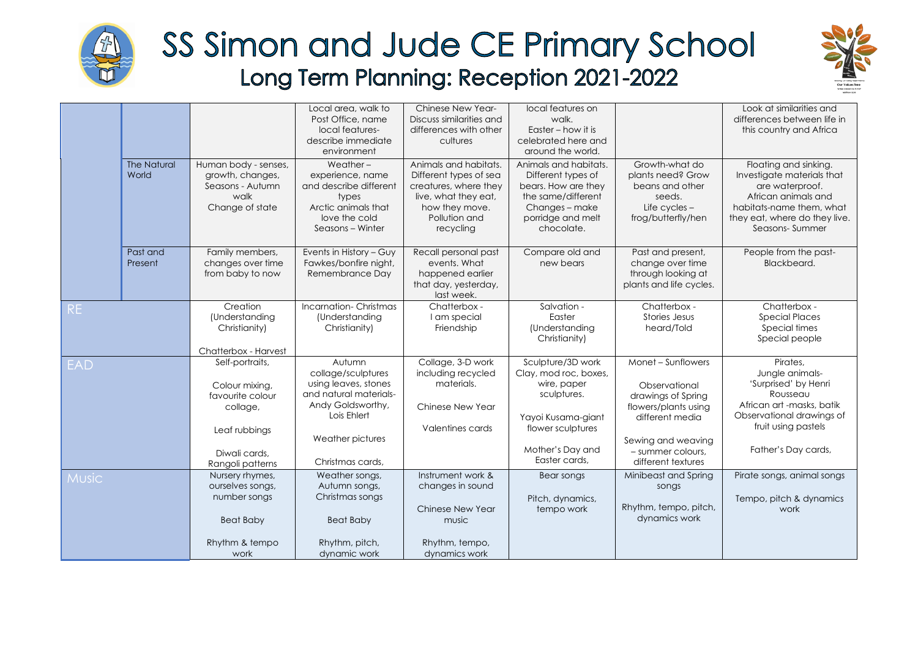

## SS Simon and Jude CE Primary School Long Term Planning: Reception 2021-2022



|              |                             |                                                                                                                         | Local area, walk to<br>Post Office, name<br>local features-<br>describe immediate<br>environment                                                           | <b>Chinese New Year-</b><br>Discuss similarities and<br>differences with other<br>cultures                                                       | local features on<br>walk.<br>Easter – how it is<br>celebrated here and<br>around the world.                                                             |                                                                                                                                                                       | Look at similarities and<br>differences between life in<br>this country and Africa                                                                                           |
|--------------|-----------------------------|-------------------------------------------------------------------------------------------------------------------------|------------------------------------------------------------------------------------------------------------------------------------------------------------|--------------------------------------------------------------------------------------------------------------------------------------------------|----------------------------------------------------------------------------------------------------------------------------------------------------------|-----------------------------------------------------------------------------------------------------------------------------------------------------------------------|------------------------------------------------------------------------------------------------------------------------------------------------------------------------------|
|              | <b>The Natural</b><br>World | Human body - senses,<br>growth, changes,<br>Seasons - Autumn<br>walk<br>Change of state                                 | Weather $-$<br>experience, name<br>and describe different<br>types<br>Arctic animals that<br>love the cold<br>Seasons - Winter                             | Animals and habitats.<br>Different types of sea<br>creatures, where they<br>live, what they eat,<br>how they move.<br>Pollution and<br>recycling | Animals and habitats.<br>Different types of<br>bears. How are they<br>the same/different<br>Changes - make<br>porridge and melt<br>chocolate.            | Growth-what do<br>plants need? Grow<br>beans and other<br>seeds.<br>Life cycles -<br>frog/butterfly/hen                                                               | Floating and sinking.<br>Investigate materials that<br>are waterproof.<br>African animals and<br>habitats-name them, what<br>they eat, where do they live.<br>Seasons-Summer |
|              | Past and<br>Present         | Family members,<br>changes over time<br>from baby to now                                                                | Events in History - Guy<br>Fawkes/bonfire night,<br>Remembrance Day                                                                                        | Recall personal past<br>events. What<br>happened earlier<br>that day, yesterday,<br>last week.                                                   | Compare old and<br>new bears                                                                                                                             | Past and present,<br>change over time<br>through looking at<br>plants and life cycles.                                                                                | People from the past-<br>Blackbeard.                                                                                                                                         |
| <b>RE</b>    |                             | Creation<br>(Understanding<br>Christianity)<br>Chatterbox - Harvest                                                     | Incarnation-Christmas<br>(Understanding<br>Christianity)                                                                                                   | Chatterbox -<br>I am special<br>Friendship                                                                                                       | Salvation -<br>Easter<br>(Understanding<br>Christianity)                                                                                                 | Chatterbox -<br>Stories Jesus<br>heard/Told                                                                                                                           | Chatterbox -<br><b>Special Places</b><br>Special times<br>Special people                                                                                                     |
| <b>EAD</b>   |                             | Self-portraits,<br>Colour mixing,<br>favourite colour<br>collage,<br>Leaf rubbings<br>Diwali cards.<br>Rangoli patterns | Autumn<br>collage/sculptures<br>using leaves, stones<br>and natural materials-<br>Andy Goldsworthy,<br>Lois Ehlert<br>Weather pictures<br>Christmas cards, | Collage, 3-D work<br>including recycled<br>materials.<br>Chinese New Year<br>Valentines cards                                                    | Sculpture/3D work<br>Clay, mod roc, boxes,<br>wire, paper<br>sculptures.<br>Yayoi Kusama-giant<br>flower sculptures<br>Mother's Day and<br>Easter cards, | Monet - Sunflowers<br>Observational<br>drawings of Spring<br>flowers/plants using<br>different media<br>Sewing and weaving<br>- summer colours.<br>different textures | Pirates,<br>Jungle animals-<br>'Surprised' by Henri<br>Rousseau<br>African art -masks, batik<br>Observational drawings of<br>fruit using pastels<br>Father's Day cards,      |
| <b>Music</b> |                             | Nursery rhymes,<br>ourselves songs,<br>number songs<br><b>Beat Baby</b><br>Rhythm & tempo<br>work                       | Weather songs,<br>Autumn songs,<br>Christmas songs<br><b>Beat Baby</b><br>Rhythm, pitch,<br>dynamic work                                                   | Instrument work &<br>changes in sound<br>Chinese New Year<br>music<br>Rhythm, tempo,<br>dynamics work                                            | Bear songs<br>Pitch, dynamics,<br>tempo work                                                                                                             | Minibeast and Spring<br>songs<br>Rhythm, tempo, pitch,<br>dynamics work                                                                                               | Pirate songs, animal songs<br>Tempo, pitch & dynamics<br>work                                                                                                                |